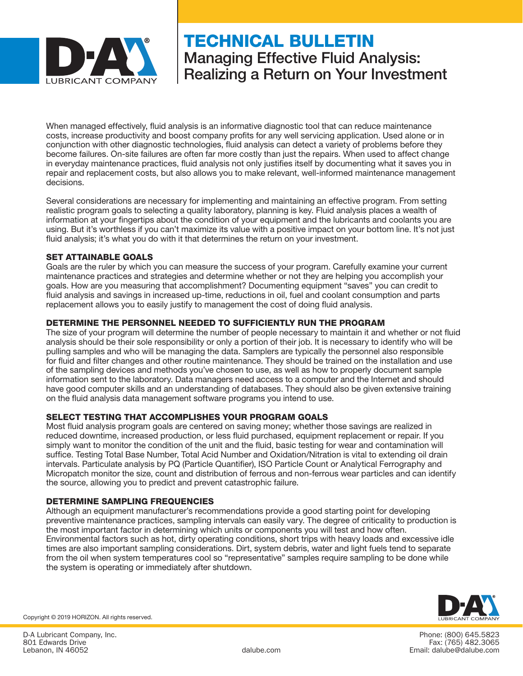

# TECHNICAL BULLETIN Managing Effective Fluid Analysis: Realizing a Return on Your Investment

When managed effectively, fluid analysis is an informative diagnostic tool that can reduce maintenance costs, increase productivity and boost company profits for any well servicing application. Used alone or in conjunction with other diagnostic technologies, fluid analysis can detect a variety of problems before they become failures. On-site failures are often far more costly than just the repairs. When used to affect change in everyday maintenance practices, fluid analysis not only justifies itself by documenting what it saves you in repair and replacement costs, but also allows you to make relevant, well-informed maintenance management decisions.

Several considerations are necessary for implementing and maintaining an effective program. From setting realistic program goals to selecting a quality laboratory, planning is key. Fluid analysis places a wealth of information at your fingertips about the condition of your equipment and the lubricants and coolants you are using. But it's worthless if you can't maximize its value with a positive impact on your bottom line. It's not just fluid analysis; it's what you do with it that determines the return on your investment.

#### SET ATTAINABLE GOALS

Goals are the ruler by which you can measure the success of your program. Carefully examine your current maintenance practices and strategies and determine whether or not they are helping you accomplish your goals. How are you measuring that accomplishment? Documenting equipment "saves" you can credit to fluid analysis and savings in increased up-time, reductions in oil, fuel and coolant consumption and parts replacement allows you to easily justify to management the cost of doing fluid analysis.

## DETERMINE THE PERSONNEL NEEDED TO SUFFICIENTLY RUN THE PROGRAM

The size of your program will determine the number of people necessary to maintain it and whether or not fluid analysis should be their sole responsibility or only a portion of their job. It is necessary to identify who will be pulling samples and who will be managing the data. Samplers are typically the personnel also responsible for fluid and filter changes and other routine maintenance. They should be trained on the installation and use of the sampling devices and methods you've chosen to use, as well as how to properly document sample information sent to the laboratory. Data managers need access to a computer and the Internet and should have good computer skills and an understanding of databases. They should also be given extensive training on the fluid analysis data management software programs you intend to use.

#### SELECT TESTING THAT ACCOMPLISHES YOUR PROGRAM GOALS

Most fluid analysis program goals are centered on saving money; whether those savings are realized in reduced downtime, increased production, or less fluid purchased, equipment replacement or repair. If you simply want to monitor the condition of the unit and the fluid, basic testing for wear and contamination will suffice. Testing Total Base Number, Total Acid Number and Oxidation/Nitration is vital to extending oil drain intervals. Particulate analysis by PQ (Particle Quantifier), ISO Particle Count or Analytical Ferrography and Micropatch monitor the size, count and distribution of ferrous and non-ferrous wear particles and can identify the source, allowing you to predict and prevent catastrophic failure.

#### DETERMINE SAMPLING FREQUENCIES

Although an equipment manufacturer's recommendations provide a good starting point for developing preventive maintenance practices, sampling intervals can easily vary. The degree of criticality to production is the most important factor in determining which units or components you will test and how often. Environmental factors such as hot, dirty operating conditions, short trips with heavy loads and excessive idle times are also important sampling considerations. Dirt, system debris, water and light fuels tend to separate from the oil when system temperatures cool so "representative" samples require sampling to be done while the system is operating or immediately after shutdown.



Phone: (800) 645.5823 Fax: (765) 482.3065 dalube.com Email: dalube@dalube.com

Copyright © 2019 HORIZON. All rights reserved.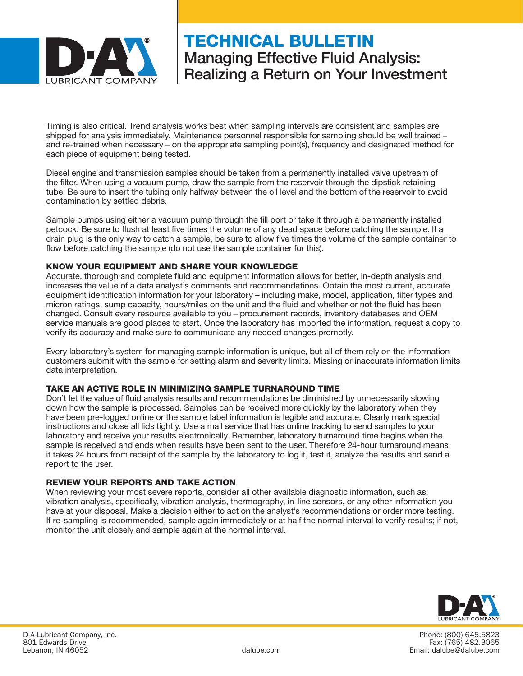

# TECHNICAL BULLETIN Managing Effective Fluid Analysis: Realizing a Return on Your Investment

Timing is also critical. Trend analysis works best when sampling intervals are consistent and samples are shipped for analysis immediately. Maintenance personnel responsible for sampling should be well trained – and re-trained when necessary – on the appropriate sampling point(s), frequency and designated method for each piece of equipment being tested.

Diesel engine and transmission samples should be taken from a permanently installed valve upstream of the filter. When using a vacuum pump, draw the sample from the reservoir through the dipstick retaining tube. Be sure to insert the tubing only halfway between the oil level and the bottom of the reservoir to avoid contamination by settled debris.

Sample pumps using either a vacuum pump through the fill port or take it through a permanently installed petcock. Be sure to flush at least five times the volume of any dead space before catching the sample. If a drain plug is the only way to catch a sample, be sure to allow five times the volume of the sample container to flow before catching the sample (do not use the sample container for this).

## KNOW YOUR EQUIPMENT AND SHARE YOUR KNOWLEDGE

Accurate, thorough and complete fluid and equipment information allows for better, in-depth analysis and increases the value of a data analyst's comments and recommendations. Obtain the most current, accurate equipment identification information for your laboratory – including make, model, application, filter types and micron ratings, sump capacity, hours/miles on the unit and the fluid and whether or not the fluid has been changed. Consult every resource available to you – procurement records, inventory databases and OEM service manuals are good places to start. Once the laboratory has imported the information, request a copy to verify its accuracy and make sure to communicate any needed changes promptly.

Every laboratory's system for managing sample information is unique, but all of them rely on the information customers submit with the sample for setting alarm and severity limits. Missing or inaccurate information limits data interpretation.

#### TAKE AN ACTIVE ROLE IN MINIMIZING SAMPLE TURNAROUND TIME

Don't let the value of fluid analysis results and recommendations be diminished by unnecessarily slowing down how the sample is processed. Samples can be received more quickly by the laboratory when they have been pre-logged online or the sample label information is legible and accurate. Clearly mark special instructions and close all lids tightly. Use a mail service that has online tracking to send samples to your laboratory and receive your results electronically. Remember, laboratory turnaround time begins when the sample is received and ends when results have been sent to the user. Therefore 24-hour turnaround means it takes 24 hours from receipt of the sample by the laboratory to log it, test it, analyze the results and send a report to the user.

#### REVIEW YOUR REPORTS AND TAKE ACTION

When reviewing your most severe reports, consider all other available diagnostic information, such as: vibration analysis, specifically, vibration analysis, thermography, in-line sensors, or any other information you have at your disposal. Make a decision either to act on the analyst's recommendations or order more testing. If re-sampling is recommended, sample again immediately or at half the normal interval to verify results; if not, monitor the unit closely and sample again at the normal interval.